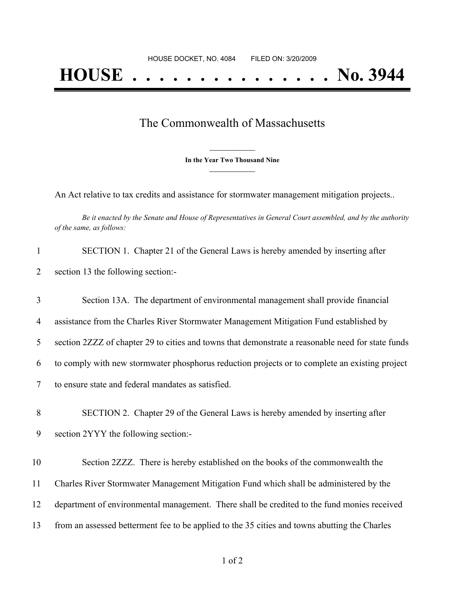## The Commonwealth of Massachusetts

**\_\_\_\_\_\_\_\_\_\_\_\_\_\_\_ In the Year Two Thousand Nine \_\_\_\_\_\_\_\_\_\_\_\_\_\_\_**

An Act relative to tax credits and assistance for stormwater management mitigation projects..

Be it enacted by the Senate and House of Representatives in General Court assembled, and by the authority *of the same, as follows:*

| $\mathbf{1}$   | SECTION 1. Chapter 21 of the General Laws is hereby amended by inserting after                    |
|----------------|---------------------------------------------------------------------------------------------------|
| 2              | section 13 the following section:-                                                                |
| 3              | Section 13A. The department of environmental management shall provide financial                   |
| $\overline{4}$ | assistance from the Charles River Stormwater Management Mitigation Fund established by            |
| 5              | section 2ZZZ of chapter 29 to cities and towns that demonstrate a reasonable need for state funds |
| 6              | to comply with new stormwater phosphorus reduction projects or to complete an existing project    |
| $\tau$         | to ensure state and federal mandates as satisfied.                                                |
| 8              | SECTION 2. Chapter 29 of the General Laws is hereby amended by inserting after                    |
| 9              | section 2YYY the following section:-                                                              |
| 10             | Section 2ZZZ. There is hereby established on the books of the commonwealth the                    |
| 11             | Charles River Stormwater Management Mitigation Fund which shall be administered by the            |
| 12             | department of environmental management. There shall be credited to the fund monies received       |
| 13             | from an assessed betterment fee to be applied to the 35 cities and towns abutting the Charles     |
|                |                                                                                                   |